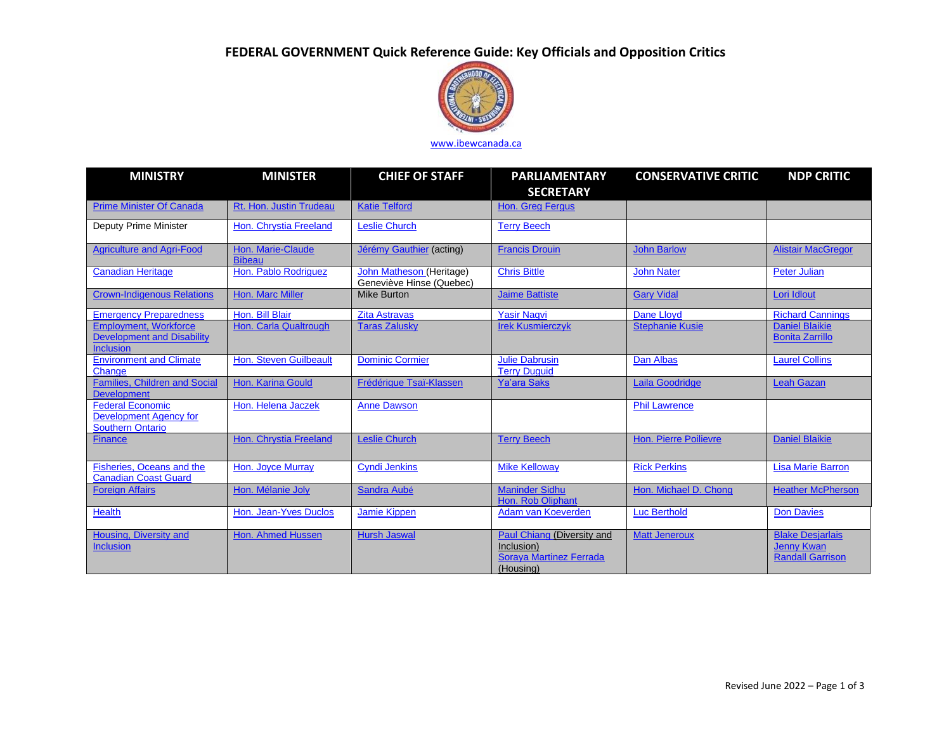# **FEDERAL GOVERNMENT Quick Reference Guide: Key Officials and Opposition Critics**



## [www.ibewcanada.ca](http://www.ibewcanada.ca/)

| <b>MINISTRY</b>                                                                       | <b>MINISTER</b>                    | <b>CHIEF OF STAFF</b>                                | <b>PARLIAMENTARY</b><br><b>SECRETARY</b>                                                | <b>CONSERVATIVE CRITIC</b>   | <b>NDP CRITIC</b>                                                       |
|---------------------------------------------------------------------------------------|------------------------------------|------------------------------------------------------|-----------------------------------------------------------------------------------------|------------------------------|-------------------------------------------------------------------------|
| <b>Prime Minister Of Canada</b>                                                       | Rt. Hon. Justin Trudeau            | <b>Katie Telford</b>                                 | <b>Hon. Greg Fergus</b>                                                                 |                              |                                                                         |
| Deputy Prime Minister                                                                 | Hon. Chrystia Freeland             | <b>Leslie Church</b>                                 | <b>Terry Beech</b>                                                                      |                              |                                                                         |
| <b>Agriculture and Agri-Food</b>                                                      | Hon. Marie-Claude<br><b>Bibeau</b> | Jérémy Gauthier (acting)                             | <b>Francis Drouin</b>                                                                   | <b>John Barlow</b>           | <b>Alistair MacGregor</b>                                               |
| <b>Canadian Heritage</b>                                                              | Hon. Pablo Rodriguez               | John Matheson (Heritage)<br>Geneviève Hinse (Quebec) | <b>Chris Bittle</b>                                                                     | <b>John Nater</b>            | <b>Peter Julian</b>                                                     |
| <b>Crown-Indigenous Relations</b>                                                     | Hon. Marc Miller                   | <b>Mike Burton</b>                                   | <b>Jaime Battiste</b>                                                                   | <b>Gary Vidal</b>            | Lori Idlout                                                             |
| <b>Emergency Preparedness</b>                                                         | Hon. Bill Blair                    | <b>Zita Astravas</b>                                 | <b>Yasir Nagvi</b>                                                                      | Dane Llovd                   | <b>Richard Cannings</b>                                                 |
| <b>Employment, Workforce</b><br><b>Development and Disability</b><br><b>Inclusion</b> | Hon. Carla Qualtrough              | <b>Taras Zalusky</b>                                 | <b>Irek Kusmierczyk</b>                                                                 | <b>Stephanie Kusie</b>       | <b>Daniel Blaikie</b><br><b>Bonita Zarrillo</b>                         |
| <b>Environment and Climate</b><br>Change                                              | Hon. Steven Guilbeault             | <b>Dominic Cormier</b>                               | <b>Julie Dabrusin</b><br><b>Terry Duguid</b>                                            | <b>Dan Albas</b>             | <b>Laurel Collins</b>                                                   |
| <b>Families, Children and Social</b><br><b>Development</b>                            | Hon. Karina Gould                  | Frédérique Tsaï-Klassen                              | <b>Ya'ara Saks</b>                                                                      | Laila Goodridge              | <b>Leah Gazan</b>                                                       |
| <b>Federal Economic</b><br><b>Development Agency for</b><br>Southern Ontario          | Hon, Helena Jaczek                 | <b>Anne Dawson</b>                                   |                                                                                         | <b>Phil Lawrence</b>         |                                                                         |
| <b>Finance</b>                                                                        | Hon. Chrystia Freeland             | <b>Leslie Church</b>                                 | <b>Terry Beech</b>                                                                      | <b>Hon. Pierre Poilievre</b> | <b>Daniel Blaikie</b>                                                   |
| Fisheries, Oceans and the<br><b>Canadian Coast Guard</b>                              | Hon. Joyce Murray                  | <b>Cyndi Jenkins</b>                                 | <b>Mike Kelloway</b>                                                                    | <b>Rick Perkins</b>          | <b>Lisa Marie Barron</b>                                                |
| <b>Foreign Affairs</b>                                                                | Hon. Mélanie Joly                  | Sandra Aubé                                          | <b>Maninder Sidhu</b><br>Hon. Rob Oliphant                                              | Hon. Michael D. Chong        | <b>Heather McPherson</b>                                                |
| <b>Health</b>                                                                         | Hon. Jean-Yves Duclos              | <b>Jamie Kippen</b>                                  | Adam van Koeverden                                                                      | <b>Luc Berthold</b>          | <b>Don Davies</b>                                                       |
| Housing, Diversity and<br><b>Inclusion</b>                                            | Hon. Ahmed Hussen                  | <b>Hursh Jaswal</b>                                  | Paul Chiang (Diversity and<br>Inclusion)<br><b>Soraya Martinez Ferrada</b><br>(Housing) | <b>Matt Jeneroux</b>         | <b>Blake Desjarlais</b><br><b>Jenny Kwan</b><br><b>Randall Garrison</b> |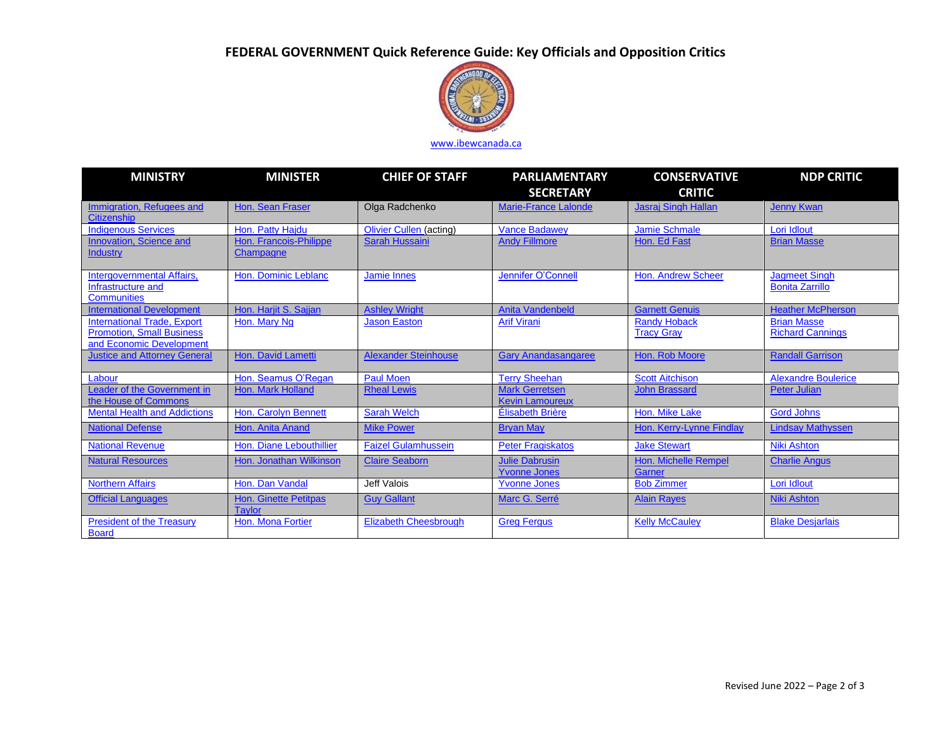# **FEDERAL GOVERNMENT Quick Reference Guide: Key Officials and Opposition Critics**



## [www.ibewcanada.ca](http://www.ibewcanada.ca/)

| <b>MINISTRY</b>                                                                                    | <b>MINISTER</b>                               | <b>CHIEF OF STAFF</b>          | <b>PARLIAMENTARY</b><br><b>SECRETARY</b>        | <b>CONSERVATIVE</b><br><b>CRITIC</b>         | <b>NDP CRITIC</b>                              |
|----------------------------------------------------------------------------------------------------|-----------------------------------------------|--------------------------------|-------------------------------------------------|----------------------------------------------|------------------------------------------------|
| Immigration, Refugees and<br><b>Citizenship</b>                                                    | Hon. Sean Fraser                              | Olga Radchenko                 | <b>Marie-France Lalonde</b>                     | <b>Jasraj Singh Hallan</b>                   | <b>Jenny Kwan</b>                              |
| <b>Indigenous Services</b>                                                                         | Hon. Patty Haidu                              | <b>Olivier Cullen (acting)</b> | <b>Vance Badawev</b>                            | Jamie Schmale                                | Lori Idlout                                    |
| Innovation, Science and<br><b>Industry</b>                                                         | Hon. Francois-Philippe<br>Champagne           | <b>Sarah Hussaini</b>          | <b>Andy Fillmore</b>                            | Hon. Ed Fast                                 | <b>Brian Masse</b>                             |
| Intergovernmental Affairs,<br>Infrastructure and<br><b>Communities</b>                             | Hon. Dominic Leblanc                          | <b>Jamie Innes</b>             | <b>Jennifer O'Connell</b>                       | <b>Hon. Andrew Scheer</b>                    | <b>Jagmeet Singh</b><br><b>Bonita Zarrillo</b> |
| <b>International Development</b>                                                                   | Hon. Harjit S. Sajjan                         | <b>Ashley Wright</b>           | <b>Anita Vandenbeld</b>                         | <b>Garnett Genuis</b>                        | <b>Heather McPherson</b>                       |
| <b>International Trade, Export</b><br><b>Promotion, Small Business</b><br>and Economic Development | Hon. Mary Ng                                  | <b>Jason Easton</b>            | <b>Arif Virani</b>                              | <b>Randy Hoback</b><br><b>Tracy Gray</b>     | <b>Brian Masse</b><br><b>Richard Cannings</b>  |
| <b>Justice and Attorney General</b>                                                                | <b>Hon. David Lametti</b>                     | <b>Alexander Steinhouse</b>    | <b>Gary Anandasangaree</b>                      | Hon. Rob Moore                               | <b>Randall Garrison</b>                        |
| Labour                                                                                             | Hon. Seamus O'Regan                           | <b>Paul Moen</b>               | <b>Terry Sheehan</b>                            | <b>Scott Aitchison</b>                       | <b>Alexandre Boulerice</b>                     |
| Leader of the Government in<br>the House of Commons                                                | Hon. Mark Holland                             | <b>Rheal Lewis</b>             | <b>Mark Gerretsen</b><br><b>Kevin Lamoureux</b> | <b>John Brassard</b>                         | <b>Peter Julian</b>                            |
| <b>Mental Health and Addictions</b>                                                                | Hon. Carolyn Bennett                          | <b>Sarah Welch</b>             | <b>Élisabeth Brière</b>                         | Hon. Mike Lake                               | <b>Gord Johns</b>                              |
| <b>National Defense</b>                                                                            | Hon. Anita Anand                              | <b>Mike Power</b>              | <b>Bryan May</b>                                | Hon. Kerry-Lynne Findlay                     | <b>Lindsay Mathyssen</b>                       |
| <b>National Revenue</b>                                                                            | Hon. Diane Lebouthillier                      | <b>Faizel Gulamhussein</b>     | <b>Peter Fragiskatos</b>                        | <b>Jake Stewart</b>                          | <b>Niki Ashton</b>                             |
| <b>Natural Resources</b>                                                                           | Hon. Jonathan Wilkinson                       | <b>Claire Seaborn</b>          | <b>Julie Dabrusin</b><br><b>Yvonne Jones</b>    | <b>Hon. Michelle Rempel</b><br><b>Garner</b> | <b>Charlie Angus</b>                           |
| <b>Northern Affairs</b>                                                                            | Hon. Dan Vandal                               | Jeff Valois                    | <b>Yvonne Jones</b>                             | <b>Bob Zimmer</b>                            | Lori Idlout                                    |
| <b>Official Languages</b>                                                                          | <b>Hon. Ginette Petitpas</b><br><b>Taylor</b> | <b>Guy Gallant</b>             | Marc G. Serré                                   | <b>Alain Rayes</b>                           | <b>Niki Ashton</b>                             |
| <b>President of the Treasury</b><br><b>Board</b>                                                   | Hon. Mona Fortier                             | <b>Elizabeth Cheesbrough</b>   | <b>Greg Fergus</b>                              | <b>Kelly McCauley</b>                        | <b>Blake Desjarlais</b>                        |